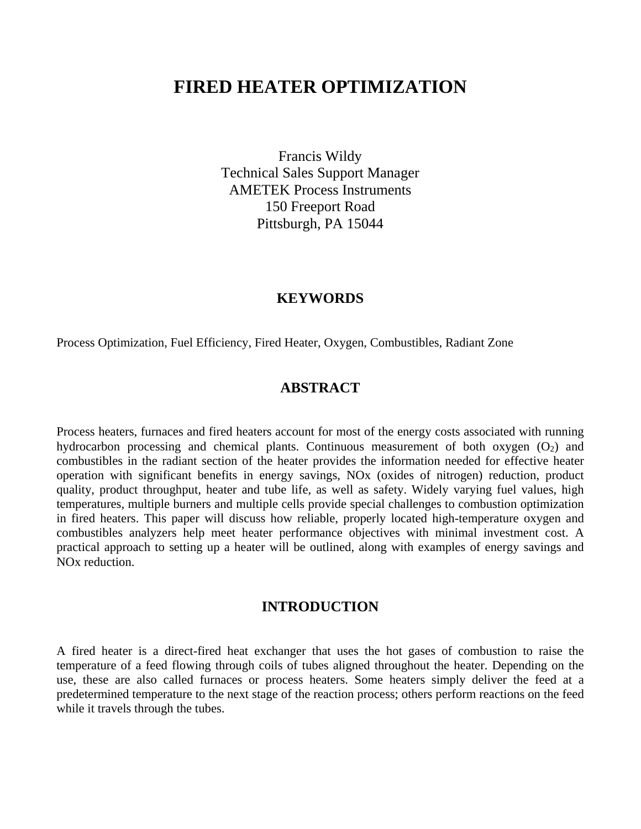# **FIRED HEATER OPTIMIZATION**

Francis Wildy Technical Sales Support Manager AMETEK Process Instruments 150 Freeport Road Pittsburgh, PA 15044

## **KEYWORDS**

Process Optimization, Fuel Efficiency, Fired Heater, Oxygen, Combustibles, Radiant Zone

## **ABSTRACT**

Process heaters, furnaces and fired heaters account for most of the energy costs associated with running hydrocarbon processing and chemical plants. Continuous measurement of both oxygen  $(O_2)$  and combustibles in the radiant section of the heater provides the information needed for effective heater operation with significant benefits in energy savings, NOx (oxides of nitrogen) reduction, product quality, product throughput, heater and tube life, as well as safety. Widely varying fuel values, high temperatures, multiple burners and multiple cells provide special challenges to combustion optimization in fired heaters. This paper will discuss how reliable, properly located high-temperature oxygen and combustibles analyzers help meet heater performance objectives with minimal investment cost. A practical approach to setting up a heater will be outlined, along with examples of energy savings and NOx reduction.

## **INTRODUCTION**

A fired heater is a direct-fired heat exchanger that uses the hot gases of combustion to raise the temperature of a feed flowing through coils of tubes aligned throughout the heater. Depending on the use, these are also called furnaces or process heaters. Some heaters simply deliver the feed at a predetermined temperature to the next stage of the reaction process; others perform reactions on the feed while it travels through the tubes.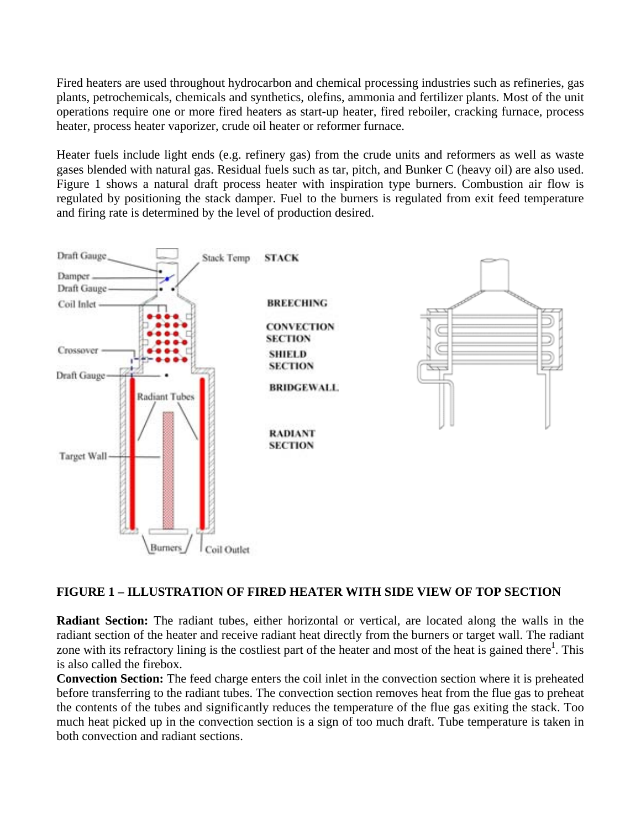Fired heaters are used throughout hydrocarbon and chemical processing industries such as refineries, gas plants, petrochemicals, chemicals and synthetics, olefins, ammonia and fertilizer plants. Most of the unit operations require one or more fired heaters as start-up heater, fired reboiler, cracking furnace, process heater, process heater vaporizer, crude oil heater or reformer furnace.

Heater fuels include light ends (e.g. refinery gas) from the crude units and reformers as well as waste gases blended with natural gas. Residual fuels such as tar, pitch, and Bunker C (heavy oil) are also used. Figure 1 shows a natural draft process heater with inspiration type burners. Combustion air flow is regulated by positioning the stack damper. Fuel to the burners is regulated from exit feed temperature and firing rate is determined by the level of production desired.



## **FIGURE 1 – ILLUSTRATION OF FIRED HEATER WITH SIDE VIEW OF TOP SECTION**

**Radiant Section:** The radiant tubes, either horizontal or vertical, are located along the walls in the radiant section of the heater and receive radiant heat directly from the burners or target wall. The radiant zone with its refractory lining is the costliest part of the heater and most of the heat is gained there<sup>1</sup>. This is also called the firebox.

**Convection Section:** The feed charge enters the coil inlet in the convection section where it is preheated before transferring to the radiant tubes. The convection section removes heat from the flue gas to preheat the contents of the tubes and significantly reduces the temperature of the flue gas exiting the stack. Too much heat picked up in the convection section is a sign of too much draft. Tube temperature is taken in both convection and radiant sections.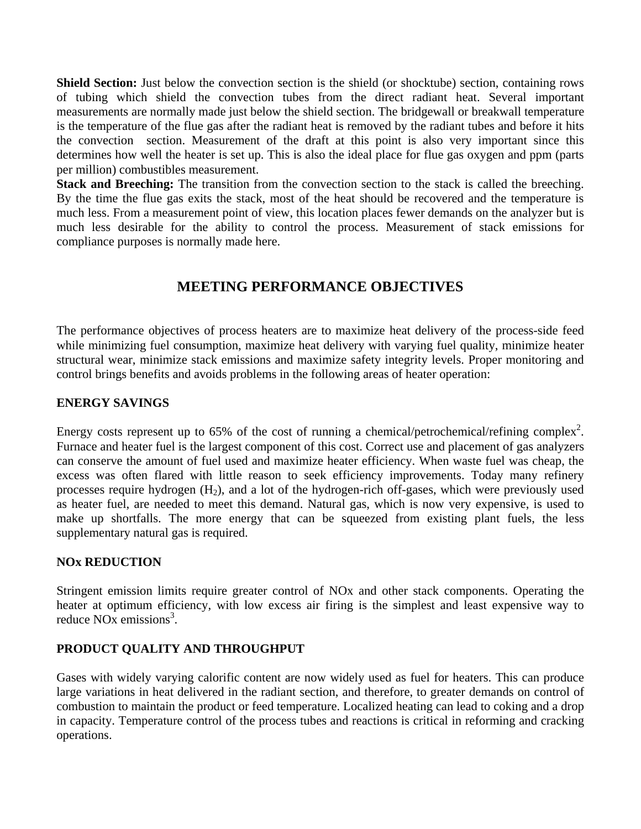**Shield Section:** Just below the convection section is the shield (or shocktube) section, containing rows of tubing which shield the convection tubes from the direct radiant heat. Several important measurements are normally made just below the shield section. The bridgewall or breakwall temperature is the temperature of the flue gas after the radiant heat is removed by the radiant tubes and before it hits the convection section. Measurement of the draft at this point is also very important since this determines how well the heater is set up. This is also the ideal place for flue gas oxygen and ppm (parts per million) combustibles measurement.

**Stack and Breeching:** The transition from the convection section to the stack is called the breeching. By the time the flue gas exits the stack, most of the heat should be recovered and the temperature is much less. From a measurement point of view, this location places fewer demands on the analyzer but is much less desirable for the ability to control the process. Measurement of stack emissions for compliance purposes is normally made here.

## **MEETING PERFORMANCE OBJECTIVES**

The performance objectives of process heaters are to maximize heat delivery of the process-side feed while minimizing fuel consumption, maximize heat delivery with varying fuel quality, minimize heater structural wear, minimize stack emissions and maximize safety integrity levels. Proper monitoring and control brings benefits and avoids problems in the following areas of heater operation:

## **ENERGY SAVINGS**

Energy costs represent up to 65% of the cost of running a chemical/petrochemical/refining complex<sup>2</sup>. Furnace and heater fuel is the largest component of this cost. Correct use and placement of gas analyzers can conserve the amount of fuel used and maximize heater efficiency. When waste fuel was cheap, the excess was often flared with little reason to seek efficiency improvements. Today many refinery processes require hydrogen  $(H_2)$ , and a lot of the hydrogen-rich off-gases, which were previously used as heater fuel, are needed to meet this demand. Natural gas, which is now very expensive, is used to make up shortfalls. The more energy that can be squeezed from existing plant fuels, the less supplementary natural gas is required.

## **NOx REDUCTION**

Stringent emission limits require greater control of NOx and other stack components. Operating the heater at optimum efficiency, with low excess air firing is the simplest and least expensive way to reduce NO<sub>x</sub> emissions<sup>3</sup>.

## **PRODUCT QUALITY AND THROUGHPUT**

Gases with widely varying calorific content are now widely used as fuel for heaters. This can produce large variations in heat delivered in the radiant section, and therefore, to greater demands on control of combustion to maintain the product or feed temperature. Localized heating can lead to coking and a drop in capacity. Temperature control of the process tubes and reactions is critical in reforming and cracking operations.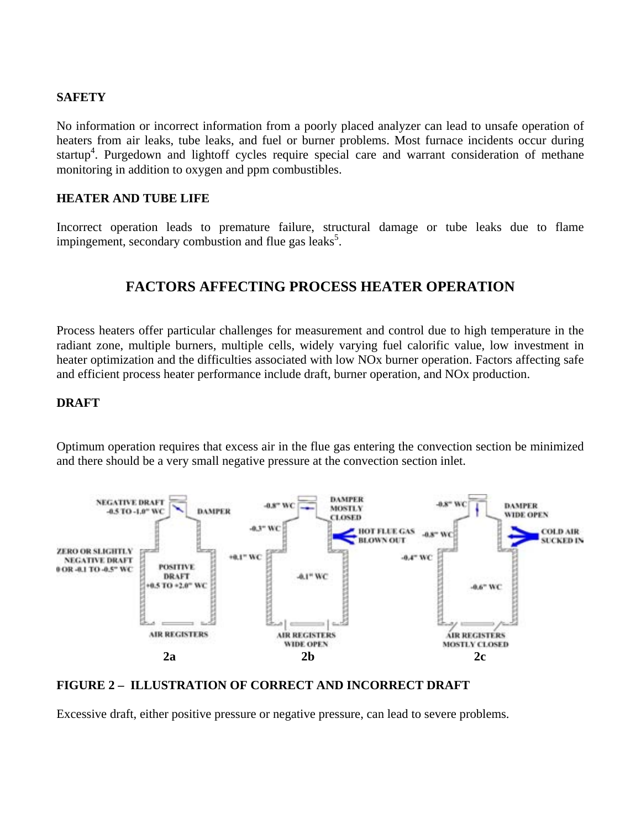### **SAFETY**

No information or incorrect information from a poorly placed analyzer can lead to unsafe operation of heaters from air leaks, tube leaks, and fuel or burner problems. Most furnace incidents occur during startup<sup>4</sup>. Purgedown and lightoff cycles require special care and warrant consideration of methane monitoring in addition to oxygen and ppm combustibles.

### **HEATER AND TUBE LIFE**

Incorrect operation leads to premature failure, structural damage or tube leaks due to flame impingement, secondary combustion and flue gas leaks<sup>5</sup>.

## **FACTORS AFFECTING PROCESS HEATER OPERATION**

Process heaters offer particular challenges for measurement and control due to high temperature in the radiant zone, multiple burners, multiple cells, widely varying fuel calorific value, low investment in heater optimization and the difficulties associated with low NOx burner operation. Factors affecting safe and efficient process heater performance include draft, burner operation, and NOx production.

### **DRAFT**

Optimum operation requires that excess air in the flue gas entering the convection section be minimized and there should be a very small negative pressure at the convection section inlet.



#### **FIGURE 2 – ILLUSTRATION OF CORRECT AND INCORRECT DRAFT**

Excessive draft, either positive pressure or negative pressure, can lead to severe problems.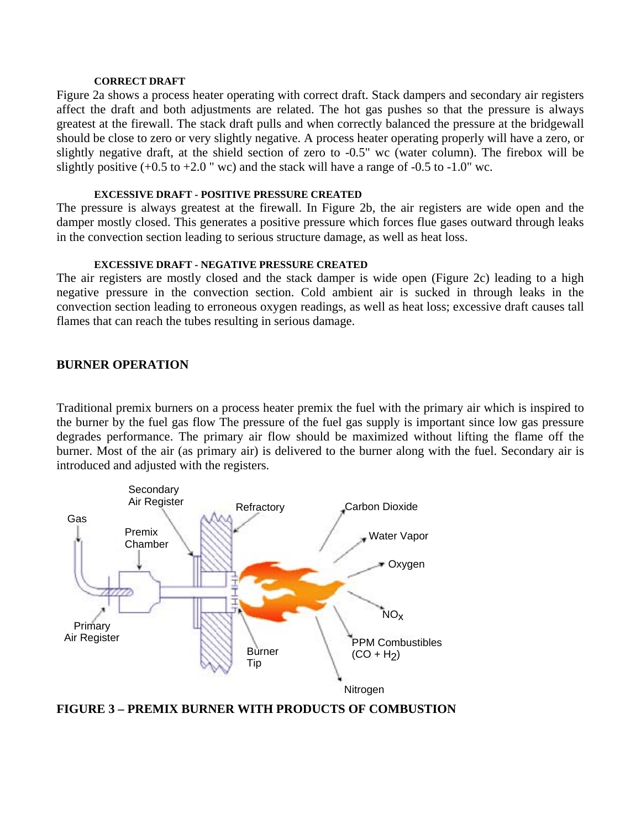#### **CORRECT DRAFT**

Figure 2a shows a process heater operating with correct draft. Stack dampers and secondary air registers affect the draft and both adjustments are related. The hot gas pushes so that the pressure is always greatest at the firewall. The stack draft pulls and when correctly balanced the pressure at the bridgewall should be close to zero or very slightly negative. A process heater operating properly will have a zero, or slightly negative draft, at the shield section of zero to -0.5" wc (water column). The firebox will be slightly positive  $(+0.5 \text{ to } +2.0 \text{ }^{\circ}\text{ w})$  and the stack will have a range of  $-0.5 \text{ to } -1.0 \text{ }^{\circ}\text{ w}$ .

#### **EXCESSIVE DRAFT - POSITIVE PRESSURE CREATED**

The pressure is always greatest at the firewall. In Figure 2b, the air registers are wide open and the damper mostly closed. This generates a positive pressure which forces flue gases outward through leaks in the convection section leading to serious structure damage, as well as heat loss.

#### **EXCESSIVE DRAFT - NEGATIVE PRESSURE CREATED**

The air registers are mostly closed and the stack damper is wide open (Figure 2c) leading to a high negative pressure in the convection section. Cold ambient air is sucked in through leaks in the convection section leading to erroneous oxygen readings, as well as heat loss; excessive draft causes tall flames that can reach the tubes resulting in serious damage.

#### **BURNER OPERATION**

Traditional premix burners on a process heater premix the fuel with the primary air which is inspired to the burner by the fuel gas flow The pressure of the fuel gas supply is important since low gas pressure degrades performance. The primary air flow should be maximized without lifting the flame off the burner. Most of the air (as primary air) is delivered to the burner along with the fuel. Secondary air is introduced and adjusted with the registers.



**FIGURE 3 – PREMIX BURNER WITH PRODUCTS OF COMBUSTION**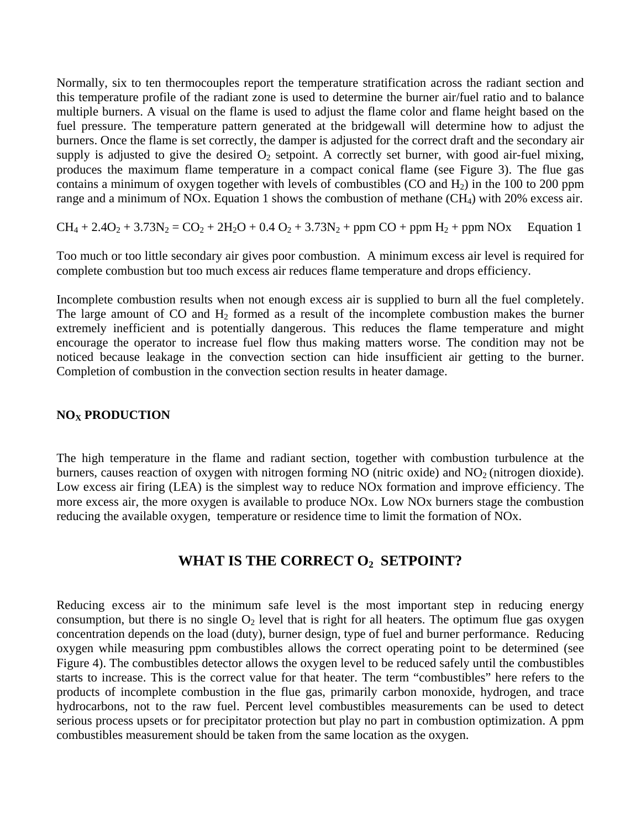Normally, six to ten thermocouples report the temperature stratification across the radiant section and this temperature profile of the radiant zone is used to determine the burner air/fuel ratio and to balance multiple burners. A visual on the flame is used to adjust the flame color and flame height based on the fuel pressure. The temperature pattern generated at the bridgewall will determine how to adjust the burners. Once the flame is set correctly, the damper is adjusted for the correct draft and the secondary air supply is adjusted to give the desired  $O_2$  setpoint. A correctly set burner, with good air-fuel mixing, produces the maximum flame temperature in a compact conical flame (see Figure 3). The flue gas contains a minimum of oxygen together with levels of combustibles (CO and  $H_2$ ) in the 100 to 200 ppm range and a minimum of NOx. Equation 1 shows the combustion of methane  $(CH_4)$  with 20% excess air.

 $CH_4 + 2.4O_2 + 3.73N_2 = CO_2 + 2H_2O + 0.4 O_2 + 3.73N_2 + ppm CO + ppm H_2 + ppm NOx$  Equation 1

Too much or too little secondary air gives poor combustion. A minimum excess air level is required for complete combustion but too much excess air reduces flame temperature and drops efficiency.

Incomplete combustion results when not enough excess air is supplied to burn all the fuel completely. The large amount of CO and  $H_2$  formed as a result of the incomplete combustion makes the burner extremely inefficient and is potentially dangerous. This reduces the flame temperature and might encourage the operator to increase fuel flow thus making matters worse. The condition may not be noticed because leakage in the convection section can hide insufficient air getting to the burner. Completion of combustion in the convection section results in heater damage.

#### **NO<sub>X</sub> PRODUCTION**

The high temperature in the flame and radiant section, together with combustion turbulence at the burners, causes reaction of oxygen with nitrogen forming NO (nitric oxide) and  $NO<sub>2</sub>$  (nitrogen dioxide). Low excess air firing (LEA) is the simplest way to reduce NOx formation and improve efficiency. The more excess air, the more oxygen is available to produce NOx. Low NOx burners stage the combustion reducing the available oxygen, temperature or residence time to limit the formation of NOx.

## WHAT IS THE CORRECT O<sub>2</sub> SETPOINT?

Reducing excess air to the minimum safe level is the most important step in reducing energy consumption, but there is no single  $O_2$  level that is right for all heaters. The optimum flue gas oxygen concentration depends on the load (duty), burner design, type of fuel and burner performance. Reducing oxygen while measuring ppm combustibles allows the correct operating point to be determined (see Figure 4). The combustibles detector allows the oxygen level to be reduced safely until the combustibles starts to increase. This is the correct value for that heater. The term "combustibles" here refers to the products of incomplete combustion in the flue gas, primarily carbon monoxide, hydrogen, and trace hydrocarbons, not to the raw fuel. Percent level combustibles measurements can be used to detect serious process upsets or for precipitator protection but play no part in combustion optimization. A ppm combustibles measurement should be taken from the same location as the oxygen.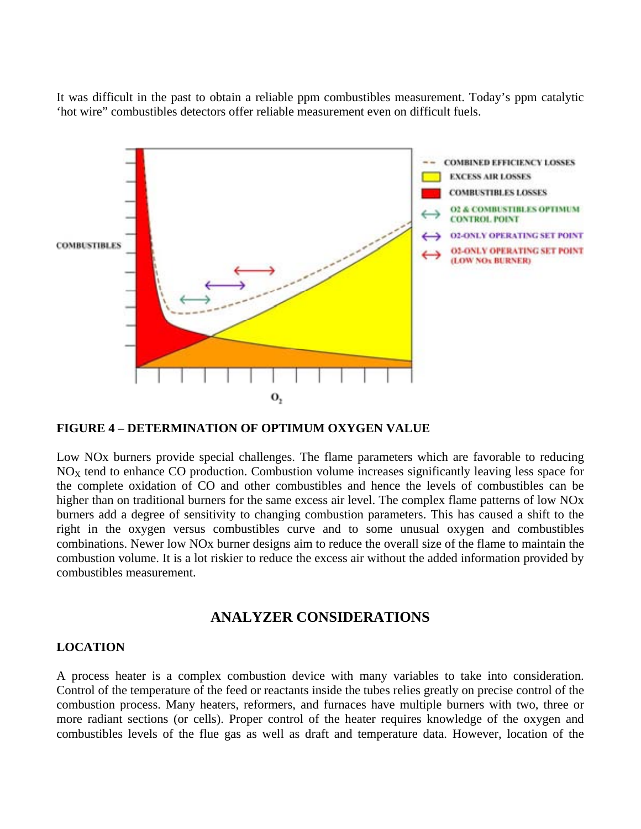It was difficult in the past to obtain a reliable ppm combustibles measurement. Today's ppm catalytic 'hot wire" combustibles detectors offer reliable measurement even on difficult fuels.



#### **FIGURE 4 – DETERMINATION OF OPTIMUM OXYGEN VALUE**

Low NOx burners provide special challenges. The flame parameters which are favorable to reducing  $NO<sub>X</sub>$  tend to enhance CO production. Combustion volume increases significantly leaving less space for the complete oxidation of CO and other combustibles and hence the levels of combustibles can be higher than on traditional burners for the same excess air level. The complex flame patterns of low NOx burners add a degree of sensitivity to changing combustion parameters. This has caused a shift to the right in the oxygen versus combustibles curve and to some unusual oxygen and combustibles combinations. Newer low NOx burner designs aim to reduce the overall size of the flame to maintain the combustion volume. It is a lot riskier to reduce the excess air without the added information provided by combustibles measurement.

## **ANALYZER CONSIDERATIONS**

### **LOCATION**

A process heater is a complex combustion device with many variables to take into consideration. Control of the temperature of the feed or reactants inside the tubes relies greatly on precise control of the combustion process. Many heaters, reformers, and furnaces have multiple burners with two, three or more radiant sections (or cells). Proper control of the heater requires knowledge of the oxygen and combustibles levels of the flue gas as well as draft and temperature data. However, location of the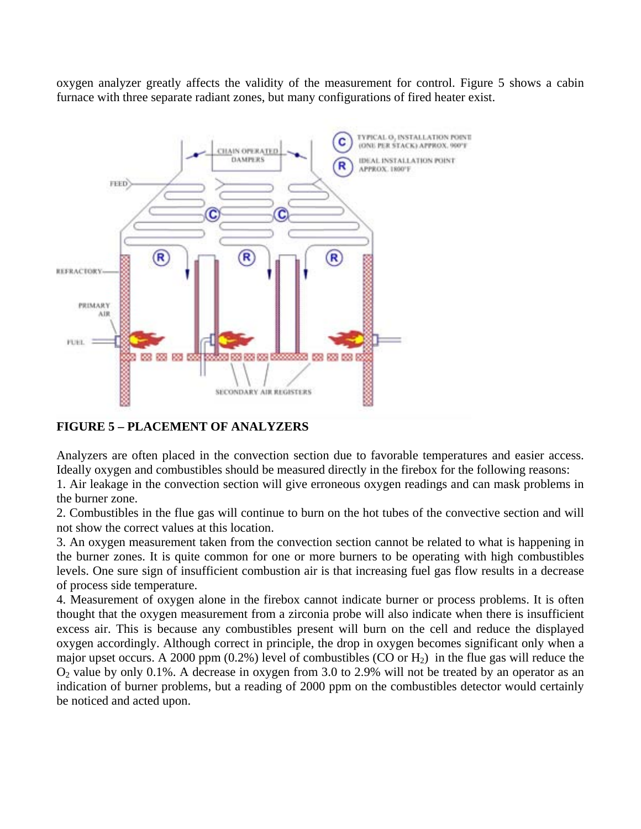oxygen analyzer greatly affects the validity of the measurement for control. Figure 5 shows a cabin furnace with three separate radiant zones, but many configurations of fired heater exist.



## **FIGURE 5 – PLACEMENT OF ANALYZERS**

Analyzers are often placed in the convection section due to favorable temperatures and easier access. Ideally oxygen and combustibles should be measured directly in the firebox for the following reasons:

1. Air leakage in the convection section will give erroneous oxygen readings and can mask problems in the burner zone.

2. Combustibles in the flue gas will continue to burn on the hot tubes of the convective section and will not show the correct values at this location.

3. An oxygen measurement taken from the convection section cannot be related to what is happening in the burner zones. It is quite common for one or more burners to be operating with high combustibles levels. One sure sign of insufficient combustion air is that increasing fuel gas flow results in a decrease of process side temperature.

4. Measurement of oxygen alone in the firebox cannot indicate burner or process problems. It is often thought that the oxygen measurement from a zirconia probe will also indicate when there is insufficient excess air. This is because any combustibles present will burn on the cell and reduce the displayed oxygen accordingly. Although correct in principle, the drop in oxygen becomes significant only when a major upset occurs. A 2000 ppm (0.2%) level of combustibles (CO or  $H_2$ ) in the flue gas will reduce the O2 value by only 0.1%. A decrease in oxygen from 3.0 to 2.9% will not be treated by an operator as an indication of burner problems, but a reading of 2000 ppm on the combustibles detector would certainly be noticed and acted upon.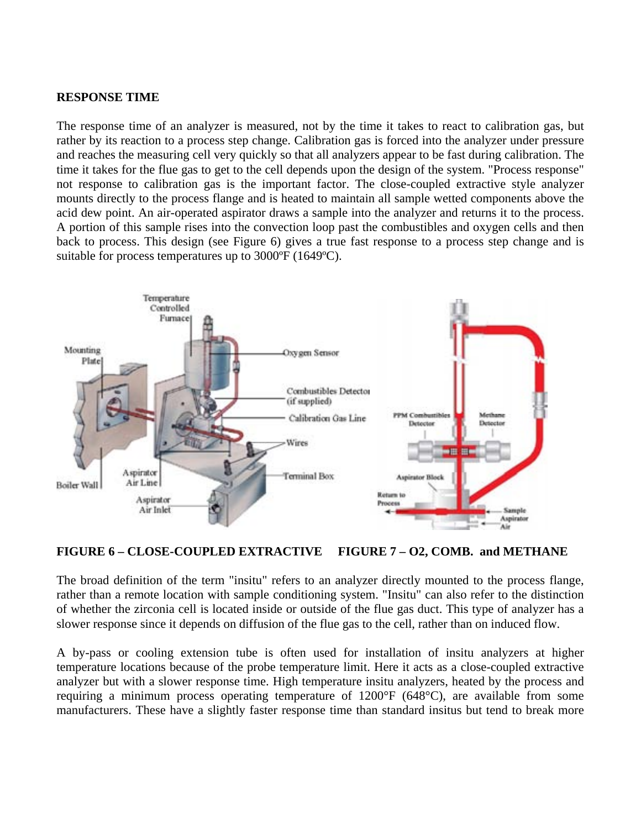#### **RESPONSE TIME**

The response time of an analyzer is measured, not by the time it takes to react to calibration gas, but rather by its reaction to a process step change. Calibration gas is forced into the analyzer under pressure and reaches the measuring cell very quickly so that all analyzers appear to be fast during calibration. The time it takes for the flue gas to get to the cell depends upon the design of the system. "Process response" not response to calibration gas is the important factor. The close-coupled extractive style analyzer mounts directly to the process flange and is heated to maintain all sample wetted components above the acid dew point. An air-operated aspirator draws a sample into the analyzer and returns it to the process. A portion of this sample rises into the convection loop past the combustibles and oxygen cells and then back to process. This design (see Figure 6) gives a true fast response to a process step change and is suitable for process temperatures up to 3000ºF (1649ºC).



**FIGURE 6 – CLOSE-COUPLED EXTRACTIVE FIGURE 7 – O2, COMB. and METHANE** 

The broad definition of the term "insitu" refers to an analyzer directly mounted to the process flange, rather than a remote location with sample conditioning system. "Insitu" can also refer to the distinction of whether the zirconia cell is located inside or outside of the flue gas duct. This type of analyzer has a slower response since it depends on diffusion of the flue gas to the cell, rather than on induced flow.

A by-pass or cooling extension tube is often used for installation of insitu analyzers at higher temperature locations because of the probe temperature limit. Here it acts as a close-coupled extractive analyzer but with a slower response time. High temperature insitu analyzers, heated by the process and requiring a minimum process operating temperature of 1200°F (648°C), are available from some manufacturers. These have a slightly faster response time than standard insitus but tend to break more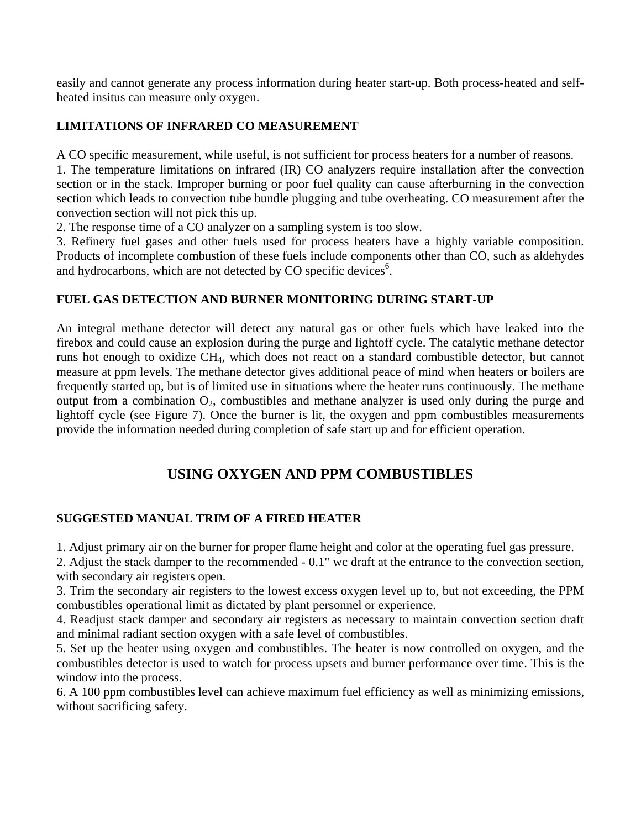easily and cannot generate any process information during heater start-up. Both process-heated and selfheated insitus can measure only oxygen.

## **LIMITATIONS OF INFRARED CO MEASUREMENT**

A CO specific measurement, while useful, is not sufficient for process heaters for a number of reasons.

1. The temperature limitations on infrared (IR) CO analyzers require installation after the convection section or in the stack. Improper burning or poor fuel quality can cause afterburning in the convection section which leads to convection tube bundle plugging and tube overheating. CO measurement after the convection section will not pick this up.

2. The response time of a CO analyzer on a sampling system is too slow.

3. Refinery fuel gases and other fuels used for process heaters have a highly variable composition. Products of incomplete combustion of these fuels include components other than CO, such as aldehydes and hydrocarbons, which are not detected by CO specific devices<sup>6</sup>.

## **FUEL GAS DETECTION AND BURNER MONITORING DURING START-UP**

An integral methane detector will detect any natural gas or other fuels which have leaked into the firebox and could cause an explosion during the purge and lightoff cycle. The catalytic methane detector runs hot enough to oxidize CH4, which does not react on a standard combustible detector, but cannot measure at ppm levels. The methane detector gives additional peace of mind when heaters or boilers are frequently started up, but is of limited use in situations where the heater runs continuously. The methane output from a combination  $O_2$ , combustibles and methane analyzer is used only during the purge and lightoff cycle (see Figure 7). Once the burner is lit, the oxygen and ppm combustibles measurements provide the information needed during completion of safe start up and for efficient operation.

## **USING OXYGEN AND PPM COMBUSTIBLES**

## **SUGGESTED MANUAL TRIM OF A FIRED HEATER**

1. Adjust primary air on the burner for proper flame height and color at the operating fuel gas pressure.

2. Adjust the stack damper to the recommended - 0.1" wc draft at the entrance to the convection section, with secondary air registers open.

3. Trim the secondary air registers to the lowest excess oxygen level up to, but not exceeding, the PPM combustibles operational limit as dictated by plant personnel or experience.

4. Readjust stack damper and secondary air registers as necessary to maintain convection section draft and minimal radiant section oxygen with a safe level of combustibles.

5. Set up the heater using oxygen and combustibles. The heater is now controlled on oxygen, and the combustibles detector is used to watch for process upsets and burner performance over time. This is the window into the process.

6. A 100 ppm combustibles level can achieve maximum fuel efficiency as well as minimizing emissions, without sacrificing safety.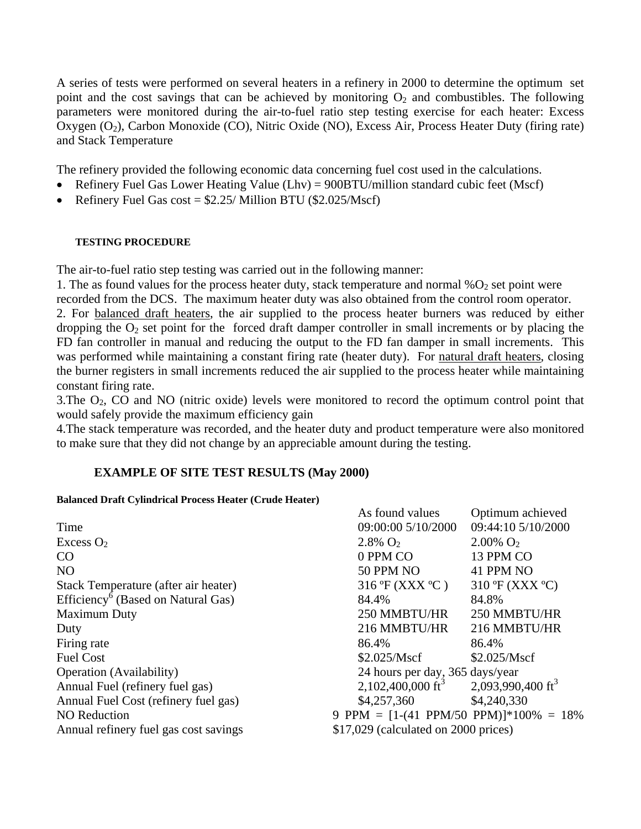A series of tests were performed on several heaters in a refinery in 2000 to determine the optimum set point and the cost savings that can be achieved by monitoring  $O_2$  and combustibles. The following parameters were monitored during the air-to-fuel ratio step testing exercise for each heater: Excess Oxygen (O2), Carbon Monoxide (CO), Nitric Oxide (NO), Excess Air, Process Heater Duty (firing rate) and Stack Temperature

The refinery provided the following economic data concerning fuel cost used in the calculations.

- Refinery Fuel Gas Lower Heating Value (Lhv) = 900BTU/million standard cubic feet (Mscf)
- Refinery Fuel Gas  $cost = $2.25/Million BTU ($2.025/Mscf)$

### **TESTING PROCEDURE**

The air-to-fuel ratio step testing was carried out in the following manner:

1. The as found values for the process heater duty, stack temperature and normal % $O<sub>2</sub>$  set point were

recorded from the DCS. The maximum heater duty was also obtained from the control room operator.

2. For balanced draft heaters, the air supplied to the process heater burners was reduced by either dropping the  $O_2$  set point for the forced draft damper controller in small increments or by placing the FD fan controller in manual and reducing the output to the FD fan damper in small increments. This was performed while maintaining a constant firing rate (heater duty). For natural draft heaters, closing the burner registers in small increments reduced the air supplied to the process heater while maintaining constant firing rate.

3.The O2, CO and NO (nitric oxide) levels were monitored to record the optimum control point that would safely provide the maximum efficiency gain

4.The stack temperature was recorded, and the heater duty and product temperature were also monitored to make sure that they did not change by an appreciable amount during the testing.

## **EXAMPLE OF SITE TEST RESULTS (May 2000)**

### **Balanced Draft Cylindrical Process Heater (Crude Heater)**

|                                                | As found values                           | Optimum achieved                     |
|------------------------------------------------|-------------------------------------------|--------------------------------------|
| Time                                           | 09:00:00 5/10/2000                        | 09:44:10 5/10/2000                   |
| Excess $O2$                                    | $2.8\%$ O <sub>2</sub>                    | $2.00\%$ O <sub>2</sub>              |
| CO                                             | 0 PPM CO                                  | 13 PPM CO                            |
| <b>NO</b>                                      | <b>50 PPM NO</b>                          | 41 PPM NO                            |
| Stack Temperature (after air heater)           | $316 \text{°F}$ (XXX °C)                  | $310 \text{ °F}$ (XXX $\text{ °C}$ ) |
| Efficiency <sup>6</sup> (Based on Natural Gas) | 84.4%                                     | 84.8%                                |
| <b>Maximum Duty</b>                            | 250 MMBTU/HR                              | 250 MMBTU/HR                         |
| Duty                                           | 216 MMBTU/HR                              | 216 MMBTU/HR                         |
| Firing rate                                    | 86.4%                                     | 86.4%                                |
| <b>Fuel Cost</b>                               | \$2.025/Mscf                              | \$2.025/Mscf                         |
| <b>Operation</b> (Availability)                | 24 hours per day, 365 days/year           |                                      |
| Annual Fuel (refinery fuel gas)                | 2,102,400,000 ft <sup>3</sup>             | 2,093,990,400 ft <sup>3</sup>        |
| Annual Fuel Cost (refinery fuel gas)           | \$4,257,360                               | \$4,240,330                          |
| <b>NO</b> Reduction                            | 9 PPM = $[1-(41)$ PPM/50 PPM)]*100% = 18% |                                      |
| Annual refinery fuel gas cost savings          | $$17,029$ (calculated on 2000 prices)     |                                      |